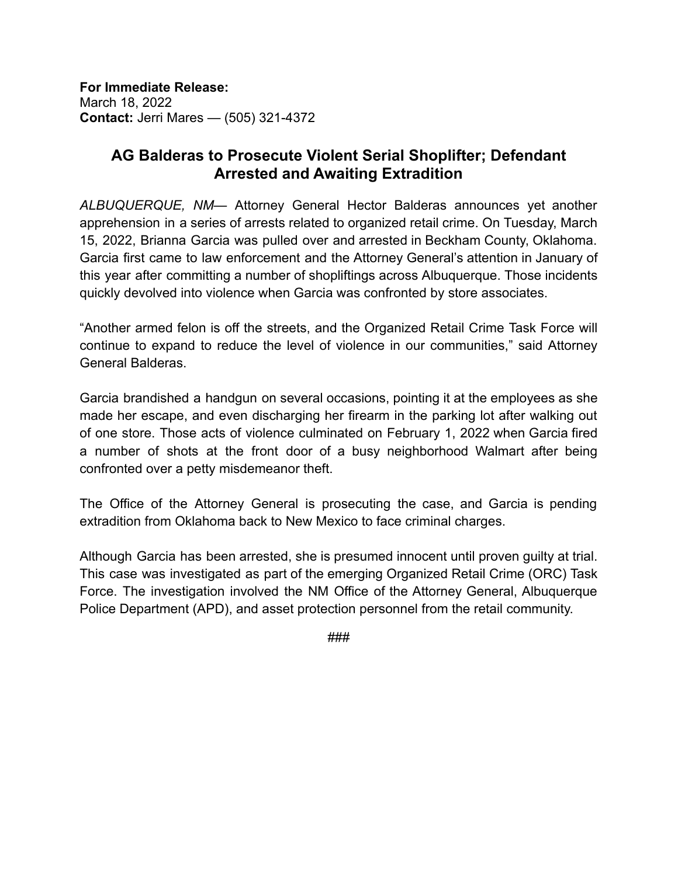**For Immediate Release:** March 18, 2022 **Contact:** Jerri Mares — (505) 321-4372

## **AG Balderas to Prosecute Violent Serial Shoplifter; Defendant Arrested and Awaiting Extradition**

*ALBUQUERQUE, NM*— Attorney General Hector Balderas announces yet another apprehension in a series of arrests related to organized retail crime. On Tuesday, March 15, 2022, Brianna Garcia was pulled over and arrested in Beckham County, Oklahoma. Garcia first came to law enforcement and the Attorney General's attention in January of this year after committing a number of shopliftings across Albuquerque. Those incidents quickly devolved into violence when Garcia was confronted by store associates.

"Another armed felon is off the streets, and the Organized Retail Crime Task Force will continue to expand to reduce the level of violence in our communities," said Attorney General Balderas.

Garcia brandished a handgun on several occasions, pointing it at the employees as she made her escape, and even discharging her firearm in the parking lot after walking out of one store. Those acts of violence culminated on February 1, 2022 when Garcia fired a number of shots at the front door of a busy neighborhood Walmart after being confronted over a petty misdemeanor theft.

The Office of the Attorney General is prosecuting the case, and Garcia is pending extradition from Oklahoma back to New Mexico to face criminal charges.

Although Garcia has been arrested, she is presumed innocent until proven guilty at trial. This case was investigated as part of the emerging Organized Retail Crime (ORC) Task Force. The investigation involved the NM Office of the Attorney General, Albuquerque Police Department (APD), and asset protection personnel from the retail community.

###